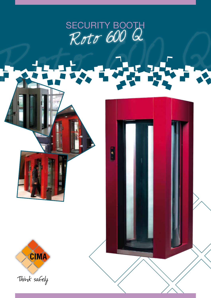